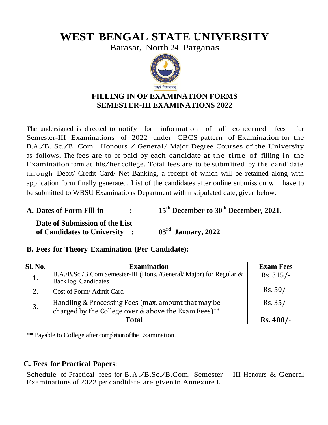# **WEST BENGAL STATE UNIVERSITY**

Barasat, North 24 Parganas



## **FILLING IN OF EXAMINATION FORMS SEMESTER-III EXAMINATIONS 2022**

The undersigned is directed to notify for information of all concerned fees for Semester-III Examinations of 2022 under CBCS pattern of Examination for the B.A./B. Sc./B. Com. Honours / General/ Major Degree Courses of the University as follows. The fees are to be paid by each candidate at the time of filling in the Examination form at his/her college. Total fees are to be submitted by the candidate t hr ough Debit/ Credit Card/ Net Banking, a receipt of which will be retained along with application form finally generated. List of the candidates after online submission will have to be submitted to WBSU Examinations Department within stipulated date, given below:

**A. Dates of Form Fill-in : 15 th December to 30th December, 2021.**

**Date of Submission of the List of Candidates to University : 03rd January, 2022**

#### **B. Fees for Theory Examination (Per Candidate):**

| Sl. No. | <b>Examination</b>                                                                                       | <b>Exam Fees</b> |
|---------|----------------------------------------------------------------------------------------------------------|------------------|
| 1.      | B.A./B.Sc./B.Com Semester-III (Hons. /General/ Major) for Regular &<br><b>Back log Candidates</b>        | $Rs. 315/-$      |
| 2.      | Cost of Form/Admit Card                                                                                  | $Rs. 50/-$       |
| 3.      | Handling & Processing Fees (max. amount that may be charged by the College over & above the Exam Fees)** |                  |
|         | $Rs.400/-$                                                                                               |                  |

\*\* Payable to College after completion of the Examination.

### **C. Fees for Practical Papers:**

Schedule of Practical fees for B.A./B.Sc./B.Com. Semester – III Honours & General Examinations of 2022 per candidate are given in Annexure I.